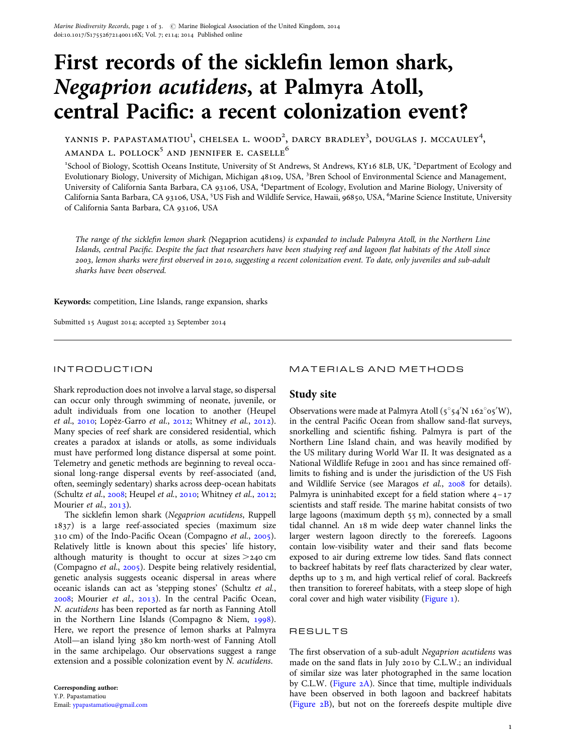# First records of the sicklefin lemon shark, Negaprion acutidens, at Palmyra Atoll, central Pacific: a recent colonization event?

YANNIS P. PAPASTAMATIOU $^1$ , CHELSEA L. WOOD $^2$ , DARCY BRADLEY $^3$ , DOUGLAS J. MCCAULEY $^4$ ,  $AMANDA$  L. POLLOCK<sup>5</sup> AND JENNIFER E. CASELLE<sup>6</sup>

<sup>1</sup>School of Biology, Scottish Oceans Institute, University of St Andrews, St Andrews, KY16 8LB, UK, <sup>2</sup>Department of Ecology and Evolutionary Biology, University of Michigan, Michigan 48109, USA, <sup>3</sup>Bren School of Environmental Science and Management, University of California Santa Barbara, CA 93106, USA, <sup>4</sup>Department of Ecology, Evolution and Marine Biology, University of California Santa Barbara, CA 93106, USA, <sup>5</sup>US Fish and Wildlife Service, Hawaii, 96850, USA, <sup>6</sup>Marine Science Institute, University of California Santa Barbara, CA 93106, USA

The range of the sicklefin lemon shark (Negaprion acutidens) is expanded to include Palmyra Atoll, in the Northern Line Islands, central Pacific. Despite the fact that researchers have been studying reef and lagoon flat habitats of the Atoll since 2003, lemon sharks were first observed in 2010, suggesting a recent colonization event. To date, only juveniles and sub-adult sharks have been observed.

Keywords: competition, Line Islands, range expansion, sharks

Submitted 15 August 2014; accepted 23 September 2014

## INTRODUCTION

Shark reproduction does not involve a larval stage, so dispersal can occur only through swimming of neonate, juvenile, or adult individuals from one location to another (Heupel et al., [2010;](#page-2-0) Lopèz-Garro et al., [2012](#page-2-0); Whitney et al., 2012). Many species of reef shark are considered residential, which creates a paradox at islands or atolls, as some individuals must have performed long distance dispersal at some point. Telemetry and genetic methods are beginning to reveal occasional long-range dispersal events by reef-associated (and, often, seemingly sedentary) sharks across deep-ocean habitats (Schultz et al., [2008](#page-2-0); Heupel et al., [2010](#page-2-0); Whitney et al., [2012](#page-2-0); Mourier *et al.*, [2013\)](#page-2-0).

The sicklefin lemon shark (Negaprion acutidens, Ruppell 1837) is a large reef-associated species (maximum size 310 cm) of the Indo-Pacific Ocean (Compagno et al., [2005](#page-2-0)). Relatively little is known about this species' life history, although maturity is thought to occur at sizes  $>$ 240 cm (Compagno et al., [2005](#page-2-0)). Despite being relatively residential, genetic analysis suggests oceanic dispersal in areas where oceanic islands can act as 'stepping stones' (Schultz et al., [2008;](#page-2-0) Mourier et al., [2013\)](#page-2-0). In the central Pacific Ocean, N. acutidens has been reported as far north as Fanning Atoll in the Northern Line Islands (Compagno & Niem, [1998](#page-2-0)). Here, we report the presence of lemon sharks at Palmyra Atoll—an island lying 380 km north-west of Fanning Atoll in the same archipelago. Our observations suggest a range extension and a possible colonization event by N. acutidens.

# MATERIALS AND METHODS

# Study site

Observations were made at Palmyra Atoll  $(5^{\circ}54'N 162^{\circ}05'W)$ , in the central Pacific Ocean from shallow sand-flat surveys, snorkelling and scientific fishing. Palmyra is part of the Northern Line Island chain, and was heavily modified by the US military during World War II. It was designated as a National Wildlife Refuge in 2001 and has since remained offlimits to fishing and is under the jurisdiction of the US Fish and Wildlife Service (see Maragos et al., [2008](#page-2-0) for details). Palmyra is uninhabited except for a field station where  $4-17$ scientists and staff reside. The marine habitat consists of two large lagoons (maximum depth 55 m), connected by a small tidal channel. An 18 m wide deep water channel links the larger western lagoon directly to the forereefs. Lagoons contain low-visibility water and their sand flats become exposed to air during extreme low tides. Sand flats connect to backreef habitats by reef flats characterized by clear water, depths up to 3 m, and high vertical relief of coral. Backreefs then transition to forereef habitats, with a steep slope of high coral cover and high water visibility [\(Figure 1](#page-1-0)).

# RESULTS

The first observation of a sub-adult Negaprion acutidens was made on the sand flats in July 2010 by C.L.W.; an individual of similar size was later photographed in the same location by C.L.W. [\(Figure 2A](#page-2-0)). Since that time, multiple individuals have been observed in both lagoon and backreef habitats ([Figure 2B](#page-2-0)), but not on the forereefs despite multiple dive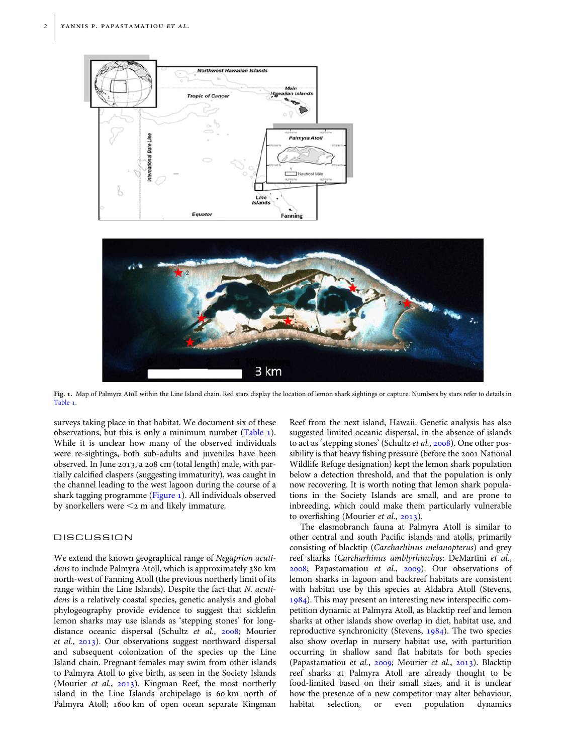<span id="page-1-0"></span>



Fig. 1. Map of Palmyra Atoll within the Line Island chain. Red stars display the location of lemon shark sightings or capture. Numbers by stars refer to details in [Table 1](#page-2-0).

surveys taking place in that habitat. We document six of these observations, but this is only a minimum number [\(Table 1](#page-2-0)). While it is unclear how many of the observed individuals were re-sightings, both sub-adults and juveniles have been observed. In June 2013, a 208 cm (total length) male, with partially calcified claspers (suggesting immaturity), was caught in the channel leading to the west lagoon during the course of a shark tagging programme (Figure 1). All individuals observed by snorkellers were  $\leq$  2 m and likely immature.

### **DISCUSSION**

We extend the known geographical range of Negaprion acutidens to include Palmyra Atoll, which is approximately 380 km north-west of Fanning Atoll (the previous northerly limit of its range within the Line Islands). Despite the fact that N. acutidens is a relatively coastal species, genetic analysis and global phylogeography provide evidence to suggest that sicklefin lemon sharks may use islands as 'stepping stones' for longdistance oceanic dispersal (Schultz et al., [2008](#page-2-0); Mourier et al., [2013\)](#page-2-0). Our observations suggest northward dispersal and subsequent colonization of the species up the Line Island chain. Pregnant females may swim from other islands to Palmyra Atoll to give birth, as seen in the Society Islands (Mourier et al., [2013\)](#page-2-0). Kingman Reef, the most northerly island in the Line Islands archipelago is 60 km north of Palmyra Atoll; 1600 km of open ocean separate Kingman

Reef from the next island, Hawaii. Genetic analysis has also suggested limited oceanic dispersal, in the absence of islands to act as 'stepping stones' (Schultz et al., [2008](#page-2-0)). One other possibility is that heavy fishing pressure (before the 2001 National Wildlife Refuge designation) kept the lemon shark population below a detection threshold, and that the population is only now recovering. It is worth noting that lemon shark populations in the Society Islands are small, and are prone to inbreeding, which could make them particularly vulnerable to overfishing (Mourier et al., [2013\)](#page-2-0).

The elasmobranch fauna at Palmyra Atoll is similar to other central and south Pacific islands and atolls, primarily consisting of blacktip (Carcharhinus melanopterus) and grey reef sharks (Carcharhinus amblyrhinchos: DeMartini et al., [2008;](#page-2-0) Papastamatiou et al., [2009](#page-2-0)). Our observations of lemon sharks in lagoon and backreef habitats are consistent with habitat use by this species at Aldabra Atoll (Stevens, [1984\)](#page-2-0). This may present an interesting new interspecific competition dynamic at Palmyra Atoll, as blacktip reef and lemon sharks at other islands show overlap in diet, habitat use, and reproductive synchronicity (Stevens, [1984](#page-2-0)). The two species also show overlap in nursery habitat use, with parturition occurring in shallow sand flat habitats for both species (Papastamatiou et al., [2009](#page-2-0); Mourier et al., [2013](#page-2-0)). Blacktip reef sharks at Palmyra Atoll are already thought to be food-limited based on their small sizes, and it is unclear how the presence of a new competitor may alter behaviour, habitat selection, or even population dynamics